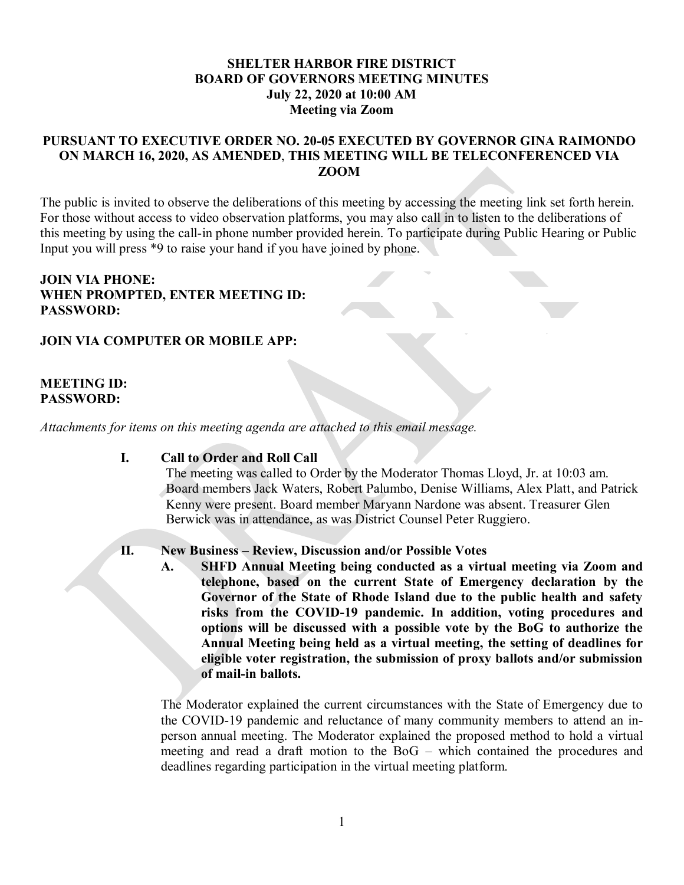# **SHELTER HARBOR FIRE DISTRICT BOARD OF GOVERNORS MEETING MINUTES July 22, 2020 at 10:00 AM Meeting via Zoom**

# **PURSUANT TO EXECUTIVE ORDER NO. 20-05 EXECUTED BY GOVERNOR GINA RAIMONDO ON MARCH 16, 2020, AS AMENDED**, **THIS MEETING WILL BE TELECONFERENCED VIA ZOOM**

The public is invited to observe the deliberations of this meeting by accessing the meeting link set forth herein. For those without access to video observation platforms, you may also call in to listen to the deliberations of this meeting by using the call-in phone number provided herein. To participate during Public Hearing or Public Input you will press \*9 to raise your hand if you have joined by phone.

## **JOIN VIA PHONE: WHEN PROMPTED, ENTER MEETING ID: PASSWORD:**

# **JOIN VIA COMPUTER OR MOBILE APP:**

## **MEETING ID: PASSWORD:**

*Attachments for items on this meeting agenda are attached to this email message.* 

#### **I. Call to Order and Roll Call**

The meeting was called to Order by the Moderator Thomas Lloyd, Jr. at 10:03 am. Board members Jack Waters, Robert Palumbo, Denise Williams, Alex Platt, and Patrick Kenny were present. Board member Maryann Nardone was absent. Treasurer Glen Berwick was in attendance, as was District Counsel Peter Ruggiero.

#### **II. New Business – Review, Discussion and/or Possible Votes**

**A. SHFD Annual Meeting being conducted as a virtual meeting via Zoom and telephone, based on the current State of Emergency declaration by the Governor of the State of Rhode Island due to the public health and safety risks from the COVID-19 pandemic. In addition, voting procedures and options will be discussed with a possible vote by the BoG to authorize the Annual Meeting being held as a virtual meeting, the setting of deadlines for eligible voter registration, the submission of proxy ballots and/or submission of mail-in ballots.**

The Moderator explained the current circumstances with the State of Emergency due to the COVID-19 pandemic and reluctance of many community members to attend an inperson annual meeting. The Moderator explained the proposed method to hold a virtual meeting and read a draft motion to the BoG – which contained the procedures and deadlines regarding participation in the virtual meeting platform.